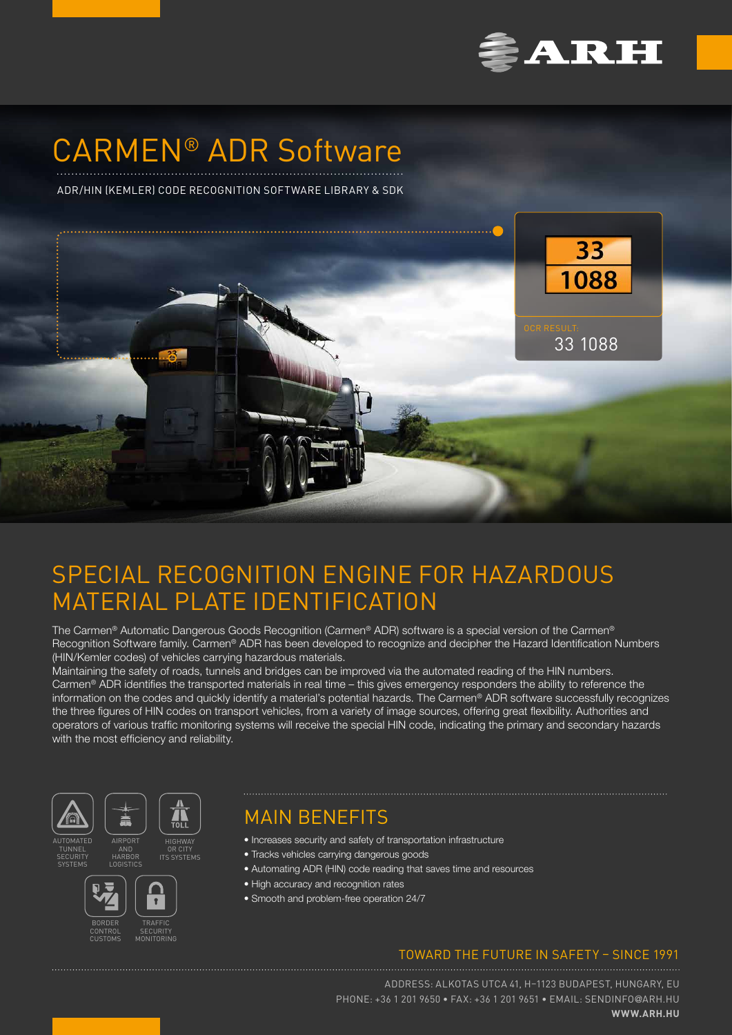

# CARMEN® ADR Software

ADR/HIN (KEMLER) CODE RECOGNITION SOFTWARE LIBRARY & SDK



## SPECIAL RECOGNITION ENGINE FOR HAZARDOUS MATERIAL PLATE IDENTIFICATION

The Carmen® Automatic Dangerous Goods Recognition (Carmen® ADR) software is a special version of the Carmen® Recognition Software family. Carmen® ADR has been developed to recognize and decipher the Hazard Identification Numbers (HIN/Kemler codes) of vehicles carrying hazardous materials.

Maintaining the safety of roads, tunnels and bridges can be improved via the automated reading of the HIN numbers. Carmen® ADR identifies the transported materials in real time – this gives emergency responders the ability to reference the information on the codes and quickly identify a material's potential hazards. The Carmen® ADR software successfully recognizes the three figures of HIN codes on transport vehicles, from a variety of image sources, offering great flexibility. Authorities and operators of various traffic monitoring systems will receive the special HIN code, indicating the primary and secondary hazards with the most efficiency and reliability.



## TUNNEL

SYSTEMS

AND HARBOR





**ITS SYSTEMS** 

## MAIN BENEFITS

- Increases security and safety of transportation infrastructure
- Tracks vehicles carrying dangerous goods
- Automating ADR (HIN) code reading that saves time and resources
- High accuracy and recognition rates
- Smooth and problem-free operation 24/7

### TOWARD THE FUTURE IN SAFETY – SINCE 1991

ADDRESS: ALKOTAS UTCA 41, H–1123 BUDAPEST, HUNGARY, EU PHONE: +36 1 201 9650 • FAX: +36 1 201 9651 • EMAIL: [SENDINFO](mailto:sendinfo%40arh.hu?subject=)@ARH.HU **[WWW.ARH.HU](https://www.arh.hu)**